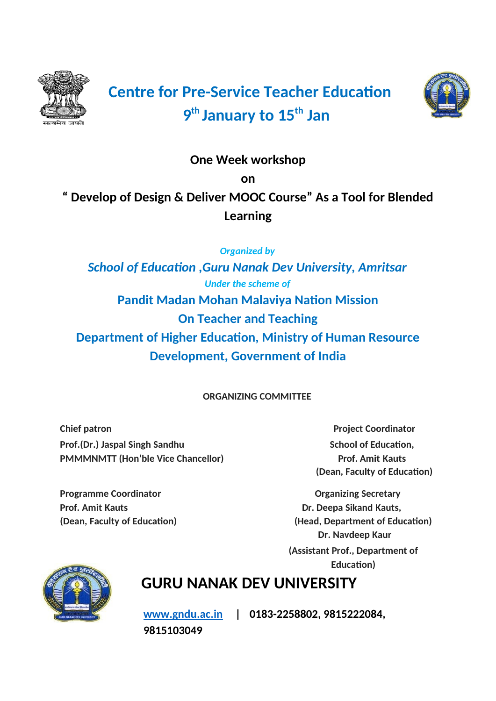

# **Centre for Pre-Service Teacher Education 9 th January to 15th Jan**



# **One Week workshop**

**on**

**" Develop of Design & Deliver MOOC Course" As a Tool for Blended Learning**

*Organized by*

*School of Education ,Guru Nanak Dev University, Amritsar Under the scheme of* **Pandit Madan Mohan Malaviya Nation Mission On Teacher and Teaching Department of Higher Education, Ministry of Human Resource Development, Government of India**

**ORGANIZING COMMITTEE**

**Chief patron Project Coordinator Prof.(Dr.)** Jaspal Singh Sandhu School of Education, **School of Education**, **PMMMNMTT (Hon'ble Vice Chancellor) Prof. Amit Kauts**

**(Dean, Faculty of Education)**

**Programme Coordinator Construction Coordinator Coordinator Coordinator Coordinator Coordinator Coordinator Coordinator Coordinator Coordinator Coordinator Coordinator Coordinator Coordinator Coordinator Coordinator Coordi Prof.** Amit Kauts **Dr. Deepa Sikand Kauts, (Dean, Faculty of Education) (Head, Department of Education) Dr. Navdeep Kaur (Assistant Prof., Department of Education)**



# **GURU NANAK DEV UNIVERSITY**

**[www.gndu.ac.in](http://www.gndu.ac.in/) | 0183-2258802, 9815222084, 9815103049**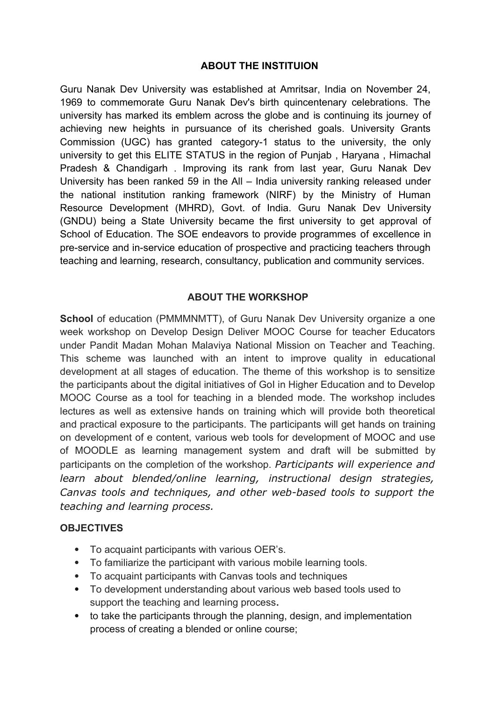#### **ABOUT THE INSTITUION**

Guru Nanak Dev University was established at Amritsar, India on November 24, 1969 to commemorate Guru Nanak Dev's birth quincentenary celebrations. The university has marked its emblem across the globe and is continuing its journey of achieving new heights in pursuance of its cherished goals. University Grants Commission (UGC) has granted category-1 status to the university, the only university to get this ELITE STATUS in the region of Punjab , Haryana , Himachal Pradesh & Chandigarh . Improving its rank from last year, Guru Nanak Dev University has been ranked 59 in the All – India university ranking released under the national institution ranking framework (NIRF) by the Ministry of Human Resource Development (MHRD), Govt. of India. Guru Nanak Dev University (GNDU) being a State University became the first university to get approval of School of Education. The SOE endeavors to provide programmes of excellence in pre-service and in-service education of prospective and practicing teachers through teaching and learning, research, consultancy, publication and community services.

#### **ABOUT THE WORKSHOP**

School of education (PMMMNMTT), of Guru Nanak Dev University organize a one week workshop on Develop Design Deliver MOOC Course for teacher Educators under Pandit Madan Mohan Malaviya National Mission on Teacher and Teaching. This scheme was launched with an intent to improve quality in educational development at all stages of education. The theme of this workshop is to sensitize the participants about the digital initiatives of GoI in Higher Education and to Develop MOOC Course as a tool for teaching in a blended mode. The workshop includes lectures as well as extensive hands on training which will provide both theoretical and practical exposure to the participants. The participants will get hands on training on development of e content, various web tools for development of MOOC and use of MOODLE as learning management system and draft will be submitted by participants on the completion of the workshop. *Participants will experience and learn about blended/online learning, instructional design strategies, Canvas tools and techniques, and other web-based tools to support the teaching and learning process.*

#### **OBJECTIVES**

- To acquaint participants with various OER's.
- To familiarize the participant with various mobile learning tools.
- To acquaint participants with Canvas tools and techniques
- To development understanding about various web based tools used to support the teaching and learning process**.**
- to take the participants through the planning, design, and implementation process of creating a blended or online course;